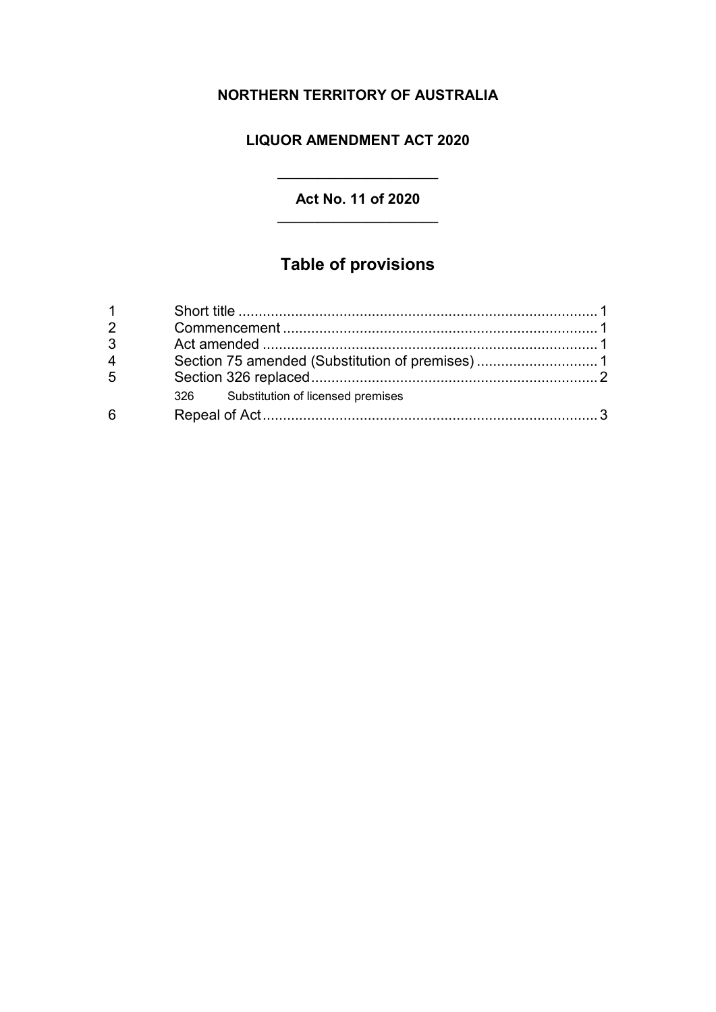# **NORTHERN TERRITORY OF AUSTRALIA**

## **LIQUOR AMENDMENT ACT 2020**

### **Act No. 11 of 2020**

 $\overline{\phantom{a}}$  , where  $\overline{\phantom{a}}$  , where  $\overline{\phantom{a}}$  , where  $\overline{\phantom{a}}$ 

# **Table of provisions**

| 2              |                                       |  |
|----------------|---------------------------------------|--|
| $\mathbf{3}$   |                                       |  |
| $\overline{4}$ |                                       |  |
| $\overline{5}$ |                                       |  |
|                | 326 Substitution of licensed premises |  |
| 6              |                                       |  |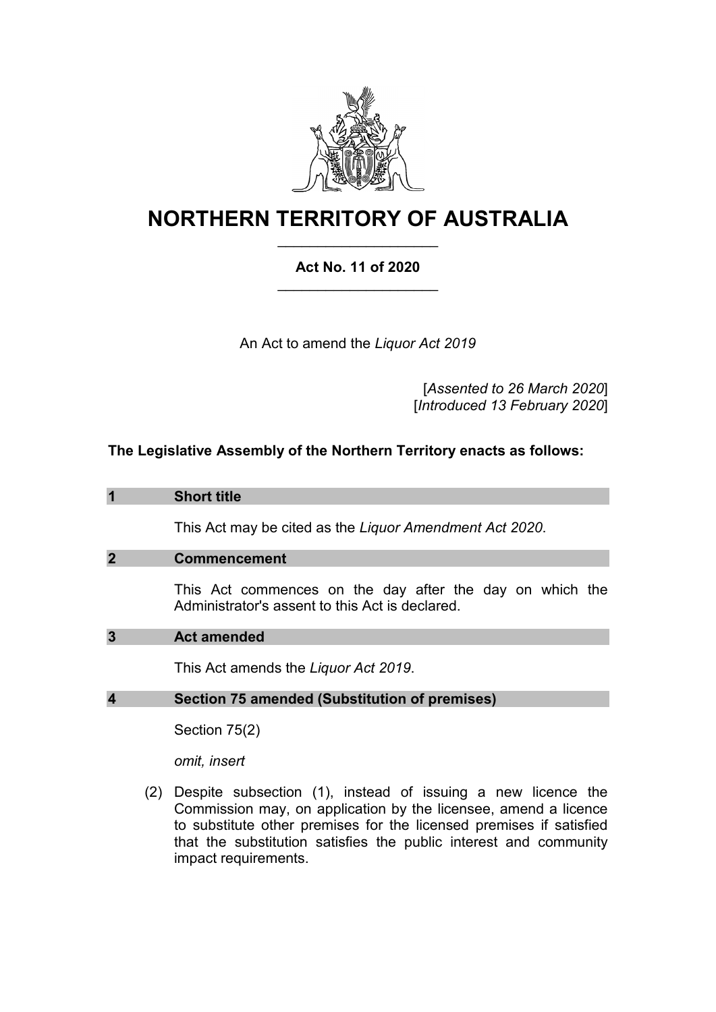

# **NORTHERN TERRITORY OF AUSTRALIA** \_\_\_\_\_\_\_\_\_\_\_\_\_\_\_\_\_\_\_\_

### **Act No. 11 of 2020** \_\_\_\_\_\_\_\_\_\_\_\_\_\_\_\_\_\_\_\_

An Act to amend the *Liquor Act 2019*

[*Assented to 26 March 2020*] [*Introduced 13 February 2020*]

### **The Legislative Assembly of the Northern Territory enacts as follows:**

| 1                | <b>Short title</b>                                                                                          |
|------------------|-------------------------------------------------------------------------------------------------------------|
|                  | This Act may be cited as the Liquor Amendment Act 2020.                                                     |
| $\overline{2}$   | <b>Commencement</b>                                                                                         |
|                  | This Act commences on the day after the day on which the<br>Administrator's assent to this Act is declared. |
| 3                | <b>Act amended</b>                                                                                          |
|                  | This Act amends the Liguor Act 2019.                                                                        |
| $\boldsymbol{4}$ | <b>Section 75 amended (Substitution of premises)</b>                                                        |
|                  | Section 75(2)                                                                                               |
|                  | omit, insert                                                                                                |

(2) Despite subsection (1), instead of issuing a new licence the Commission may, on application by the licensee, amend a licence to substitute other premises for the licensed premises if satisfied that the substitution satisfies the public interest and community impact requirements.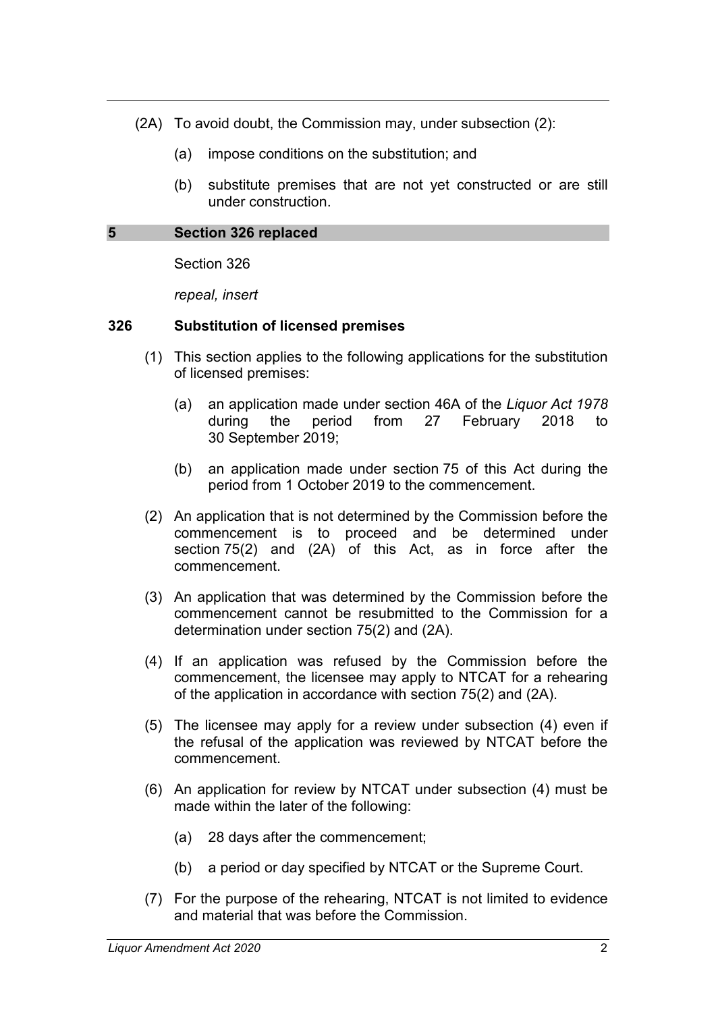- (2A) To avoid doubt, the Commission may, under subsection (2):
	- (a) impose conditions on the substitution; and
	- (b) substitute premises that are not yet constructed or are still under construction.

#### **5 Section 326 replaced**

Section 326

*repeal, insert*

#### **326 Substitution of licensed premises**

- (1) This section applies to the following applications for the substitution of licensed premises:
	- (a) an application made under section 46A of the *Liquor Act 1978* during the period from 27 February 2018 to 30 September 2019;
	- (b) an application made under section 75 of this Act during the period from 1 October 2019 to the commencement.
- (2) An application that is not determined by the Commission before the commencement is to proceed and be determined under section 75(2) and (2A) of this Act, as in force after the commencement.
- (3) An application that was determined by the Commission before the commencement cannot be resubmitted to the Commission for a determination under section 75(2) and (2A).
- (4) If an application was refused by the Commission before the commencement, the licensee may apply to NTCAT for a rehearing of the application in accordance with section 75(2) and (2A).
- (5) The licensee may apply for a review under subsection (4) even if the refusal of the application was reviewed by NTCAT before the commencement.
- (6) An application for review by NTCAT under subsection (4) must be made within the later of the following:
	- (a) 28 days after the commencement;
	- (b) a period or day specified by NTCAT or the Supreme Court.
- (7) For the purpose of the rehearing, NTCAT is not limited to evidence and material that was before the Commission.